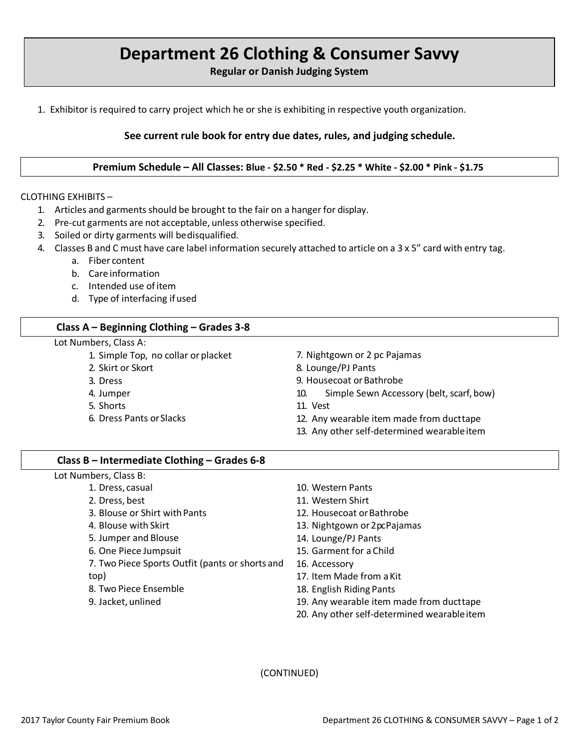# **Department 26 Clothing & Consumer Savvy**

**Regular or Danish Judging System**

1. Exhibitor is required to carry project which he or she is exhibiting in respective youth organization.

## **See current rule book for entry due dates, rules, and judging schedule.**

**Premium Schedule – All Classes: Blue - \$2.50 \* Red - \$2.25 \* White - \$2.00 \* Pink - \$1.75**

#### CLOTHING EXHIBITS –

- 1. Articles and garments should be brought to the fair on a hanger for display.
- 2. Pre-cut garments are not acceptable, unless otherwise specified.
- 3. Soiled or dirty garments will bedisqualified.
- 4. Classes B and C must have care label information securely attached to article on a 3 x 5" card with entry tag.
	- a. Fiber content
	- b. Care information
	- c. Intended use ofitem
	- d. Type of interfacing ifused

## **Class A – Beginning Clothing – Grades 3-8**

#### Lot Numbers, Class A:

- 1. Simple Top, no collar or placket
- 2. Skirt or Skort
- 3. Dress
- 4. Jumper
- 5. Shorts
- 6. Dress Pants orSlacks
- 7. Nightgown or 2 pc Pajamas
- 8. Lounge/PJ Pants
- 9. Housecoat or Bathrobe
- 10. Simple Sewn Accessory (belt, scarf, bow)
- 11. Vest
- 12. Any wearable item made from ducttape
- 13. Any other self-determined wearableitem

### **Class B – Intermediate Clothing – Grades 6-8**

Lot Numbers, Class B:

- 1. Dress, casual
- 2. Dress, best
- 3. Blouse or Shirt withPants
- 4. Blouse with Skirt
- 5. Jumper and Blouse
- 6. One Piece Jumpsuit
- 7. Two Piece Sports Outfit (pants or shorts and
- top)
- 8. Two Piece Ensemble
- 9. Jacket, unlined
- 10. Western Pants
- 11. Western Shirt
- 12. Housecoat or Bathrobe
- 13. Nightgown or 2 pc Pajamas
- 14. Lounge/PJ Pants
- 15. Garment for a Child
- 16. Accessory
- 17. Item Made from aKit
- 18. English Riding Pants
- 19. Any wearable item made from ducttape
- 20. Any other self-determined wearableitem

(CONTINUED)